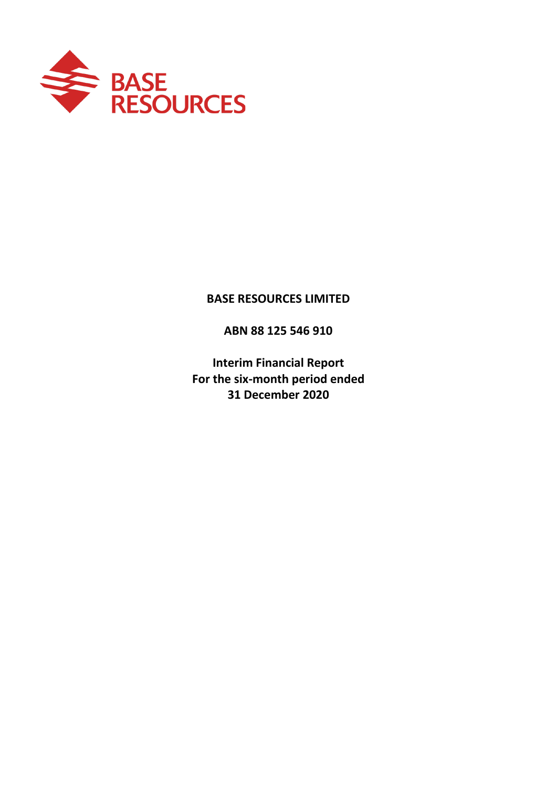

# **BASE RESOURCES LIMITED**

**ABN 88 125 546 910**

**Interim Financial Report For the six-month period ended 31 December 2020**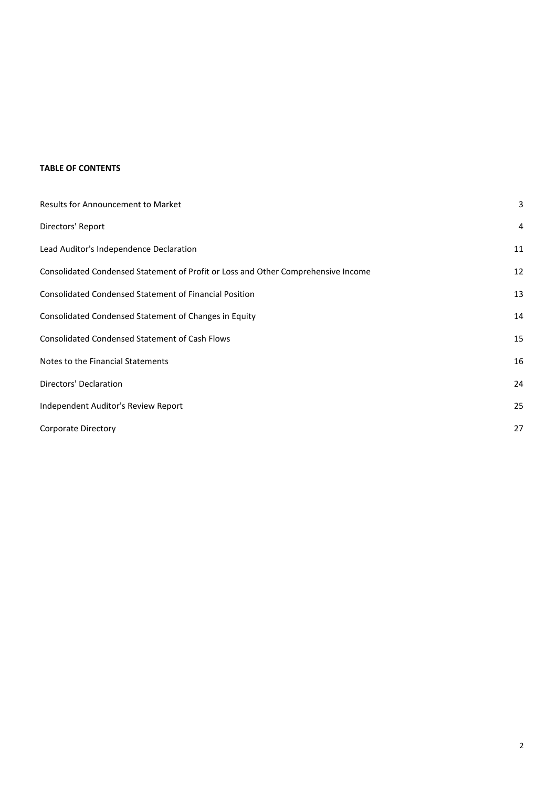### **TABLE OF CONTENTS**

| Results for Announcement to Market                                                | З  |
|-----------------------------------------------------------------------------------|----|
| Directors' Report                                                                 | 4  |
| Lead Auditor's Independence Declaration                                           | 11 |
| Consolidated Condensed Statement of Profit or Loss and Other Comprehensive Income | 12 |
| <b>Consolidated Condensed Statement of Financial Position</b>                     | 13 |
| Consolidated Condensed Statement of Changes in Equity                             | 14 |
| <b>Consolidated Condensed Statement of Cash Flows</b>                             | 15 |
| Notes to the Financial Statements                                                 | 16 |
| Directors' Declaration                                                            | 24 |
| Independent Auditor's Review Report                                               | 25 |
| <b>Corporate Directory</b>                                                        | 27 |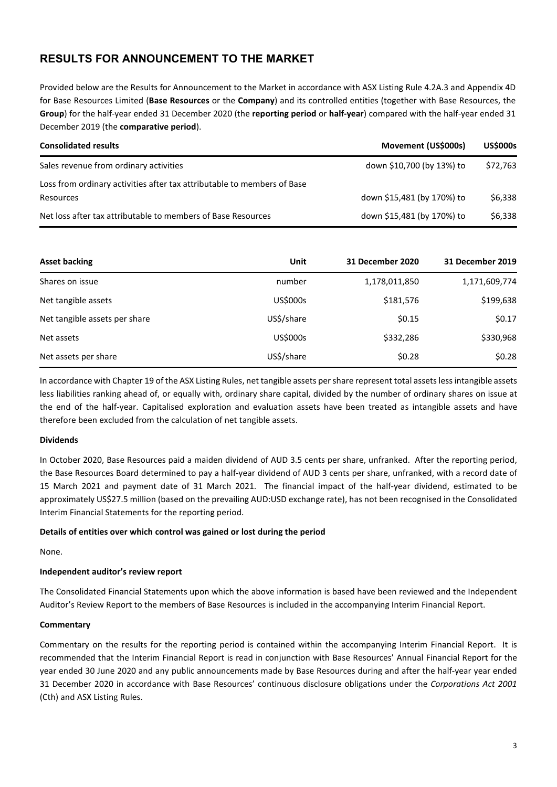# **RESULTS FOR ANNOUNCEMENT TO THE MARKET**

Provided below are the Results for Announcement to the Market in accordance with ASX Listing Rule 4.2A.3 and Appendix 4D for Base Resources Limited (**Base Resources** or the **Company**) and its controlled entities (together with Base Resources, the **Group**) for the half-year ended 31 December 2020 (the **reporting period** or **half-year**) compared with the half-year ended 31 December 2019 (the **comparative period**).

| <b>Consolidated results</b>                                                          | Movement (US\$000s)        | <b>US\$000s</b> |
|--------------------------------------------------------------------------------------|----------------------------|-----------------|
| Sales revenue from ordinary activities                                               | down \$10,700 (by 13%) to  | \$72.763        |
| Loss from ordinary activities after tax attributable to members of Base<br>Resources | down \$15,481 (by 170%) to | \$6,338         |
| Net loss after tax attributable to members of Base Resources                         | down \$15,481 (by 170%) to | \$6,338         |

| <b>Asset backing</b>          | Unit            | 31 December 2020 | 31 December 2019 |
|-------------------------------|-----------------|------------------|------------------|
| Shares on issue               | number          | 1,178,011,850    | 1,171,609,774    |
| Net tangible assets           | US\$000s        | \$181,576        | \$199,638        |
| Net tangible assets per share | US\$/share      | \$0.15           | \$0.17           |
| Net assets                    | <b>US\$000s</b> | \$332,286        | \$330,968        |
| Net assets per share          | US\$/share      | \$0.28           | \$0.28           |

In accordance with Chapter 19 of the ASX Listing Rules, net tangible assets per share represent total assets less intangible assets less liabilities ranking ahead of, or equally with, ordinary share capital, divided by the number of ordinary shares on issue at the end of the half-year. Capitalised exploration and evaluation assets have been treated as intangible assets and have therefore been excluded from the calculation of net tangible assets.

#### **Dividends**

In October 2020, Base Resources paid a maiden dividend of AUD 3.5 cents per share, unfranked. After the reporting period, the Base Resources Board determined to pay a half-year dividend of AUD 3 cents per share, unfranked, with a record date of 15 March 2021 and payment date of 31 March 2021. The financial impact of the half-year dividend, estimated to be approximately US\$27.5 million (based on the prevailing AUD:USD exchange rate), has not been recognised in the Consolidated Interim Financial Statements for the reporting period.

#### **Details of entities over which control was gained or lost during the period**

None.

#### **Independent auditor's review report**

The Consolidated Financial Statements upon which the above information is based have been reviewed and the Independent Auditor's Review Report to the members of Base Resources is included in the accompanying Interim Financial Report.

#### **Commentary**

Commentary on the results for the reporting period is contained within the accompanying Interim Financial Report. It is recommended that the Interim Financial Report is read in conjunction with Base Resources' Annual Financial Report for the year ended 30 June 2020 and any public announcements made by Base Resources during and after the half-year year ended 31 December 2020 in accordance with Base Resources' continuous disclosure obligations under the *Corporations Act 2001* (Cth) and ASX Listing Rules.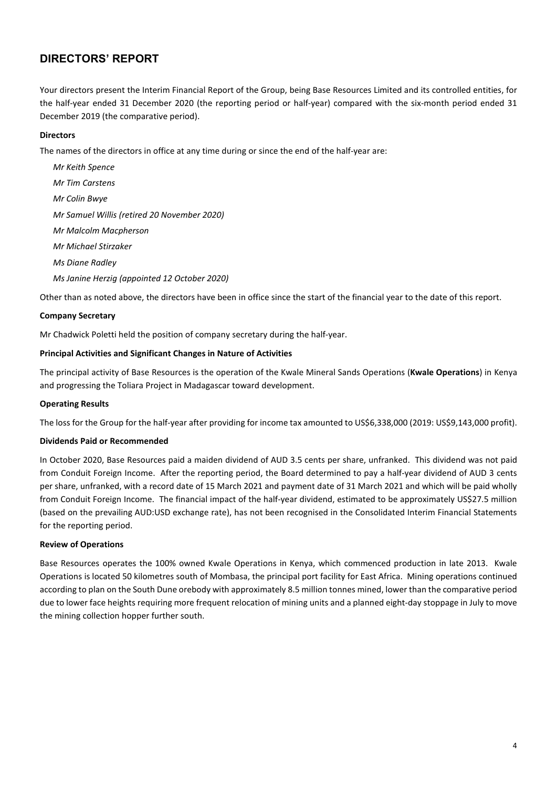Your directors present the Interim Financial Report of the Group, being Base Resources Limited and its controlled entities, for the half-year ended 31 December 2020 (the reporting period or half-year) compared with the six-month period ended 31 December 2019 (the comparative period).

#### **Directors**

The names of the directors in office at any time during or since the end of the half-year are:

*Mr Keith Spence Mr Tim Carstens Mr Colin Bwye Mr Samuel Willis (retired 20 November 2020) Mr Malcolm Macpherson Mr Michael Stirzaker Ms Diane Radley Ms Janine Herzig (appointed 12 October 2020)*

Other than as noted above, the directors have been in office since the start of the financial year to the date of this report.

#### **Company Secretary**

Mr Chadwick Poletti held the position of company secretary during the half-year.

#### **Principal Activities and Significant Changes in Nature of Activities**

The principal activity of Base Resources is the operation of the Kwale Mineral Sands Operations (**Kwale Operations**) in Kenya and progressing the Toliara Project in Madagascar toward development.

#### **Operating Results**

The loss for the Group for the half-year after providing for income tax amounted to US\$6,338,000 (2019: US\$9,143,000 profit).

#### **Dividends Paid or Recommended**

In October 2020, Base Resources paid a maiden dividend of AUD 3.5 cents per share, unfranked. This dividend was not paid from Conduit Foreign Income. After the reporting period, the Board determined to pay a half-year dividend of AUD 3 cents per share, unfranked, with a record date of 15 March 2021 and payment date of 31 March 2021 and which will be paid wholly from Conduit Foreign Income. The financial impact of the half-year dividend, estimated to be approximately US\$27.5 million (based on the prevailing AUD:USD exchange rate), has not been recognised in the Consolidated Interim Financial Statements for the reporting period.

#### **Review of Operations**

Base Resources operates the 100% owned Kwale Operations in Kenya, which commenced production in late 2013. Kwale Operations is located 50 kilometres south of Mombasa, the principal port facility for East Africa. Mining operations continued according to plan on the South Dune orebody with approximately 8.5 million tonnes mined, lower than the comparative period due to lower face heights requiring more frequent relocation of mining units and a planned eight-day stoppage in July to move the mining collection hopper further south.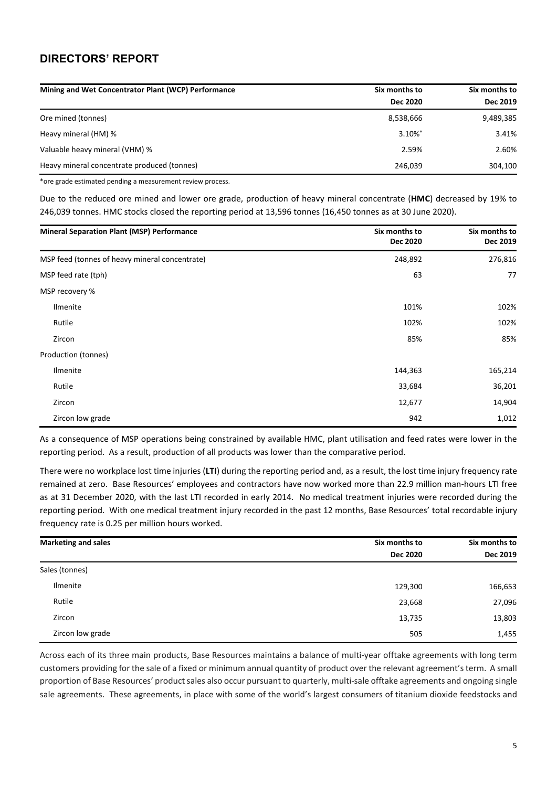| Mining and Wet Concentrator Plant (WCP) Performance | Six months to   | Six months to |
|-----------------------------------------------------|-----------------|---------------|
|                                                     | <b>Dec 2020</b> | Dec 2019      |
| Ore mined (tonnes)                                  | 8,538,666       | 9,489,385     |
| Heavy mineral (HM) %                                | 3.10%*          | 3.41%         |
| Valuable heavy mineral (VHM) %                      | 2.59%           | 2.60%         |
| Heavy mineral concentrate produced (tonnes)         | 246,039         | 304,100       |

\*ore grade estimated pending a measurement review process.

Due to the reduced ore mined and lower ore grade, production of heavy mineral concentrate (**HMC**) decreased by 19% to 246,039 tonnes. HMC stocks closed the reporting period at 13,596 tonnes (16,450 tonnes as at 30 June 2020).

| <b>Mineral Separation Plant (MSP) Performance</b> | Six months to<br>Dec 2020 | Six months to<br>Dec 2019 |
|---------------------------------------------------|---------------------------|---------------------------|
| MSP feed (tonnes of heavy mineral concentrate)    | 248,892                   | 276,816                   |
| MSP feed rate (tph)                               | 63                        | 77                        |
| MSP recovery %                                    |                           |                           |
| Ilmenite                                          | 101%                      | 102%                      |
| Rutile                                            | 102%                      | 102%                      |
| Zircon                                            | 85%                       | 85%                       |
| Production (tonnes)                               |                           |                           |
| Ilmenite                                          | 144,363                   | 165,214                   |
| Rutile                                            | 33,684                    | 36,201                    |
| Zircon                                            | 12,677                    | 14,904                    |
| Zircon low grade                                  | 942                       | 1,012                     |

As a consequence of MSP operations being constrained by available HMC, plant utilisation and feed rates were lower in the reporting period. As a result, production of all products was lower than the comparative period.

There were no workplace lost time injuries (**LTI**) during the reporting period and, as a result, the lost time injury frequency rate remained at zero. Base Resources' employees and contractors have now worked more than 22.9 million man-hours LTI free as at 31 December 2020, with the last LTI recorded in early 2014. No medical treatment injuries were recorded during the reporting period. With one medical treatment injury recorded in the past 12 months, Base Resources' total recordable injury frequency rate is 0.25 per million hours worked.

| <b>Marketing and sales</b> | Six months to   | Six months to |  |
|----------------------------|-----------------|---------------|--|
|                            | <b>Dec 2020</b> | Dec 2019      |  |
| Sales (tonnes)             |                 |               |  |
| Ilmenite                   | 129,300         | 166,653       |  |
| Rutile                     | 23,668          | 27,096        |  |
| Zircon                     | 13,735          | 13,803        |  |
| Zircon low grade           | 505             | 1,455         |  |

Across each of its three main products, Base Resources maintains a balance of multi-year offtake agreements with long term customers providing for the sale of a fixed or minimum annual quantity of product over the relevant agreement's term. A small proportion of Base Resources' product sales also occur pursuant to quarterly, multi-sale offtake agreements and ongoing single sale agreements. These agreements, in place with some of the world's largest consumers of titanium dioxide feedstocks and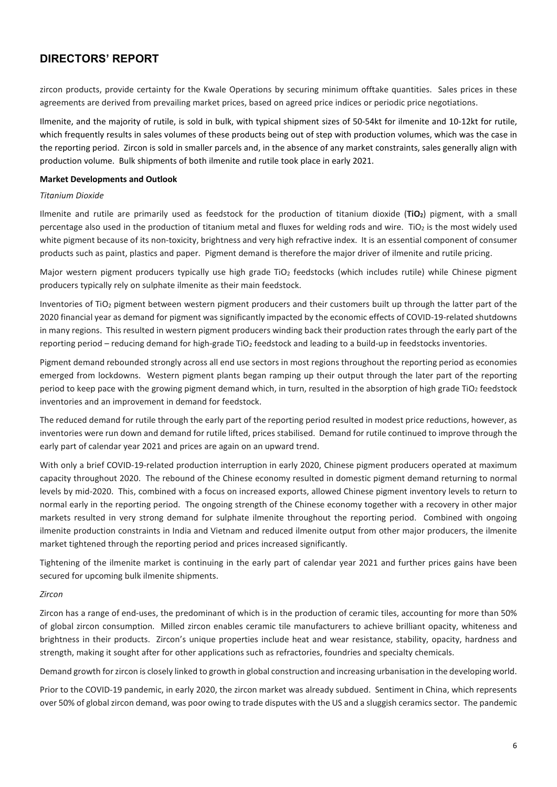zircon products, provide certainty for the Kwale Operations by securing minimum offtake quantities. Sales prices in these agreements are derived from prevailing market prices, based on agreed price indices or periodic price negotiations.

Ilmenite, and the majority of rutile, is sold in bulk, with typical shipment sizes of 50-54kt for ilmenite and 10-12kt for rutile, which frequently results in sales volumes of these products being out of step with production volumes, which was the case in the reporting period. Zircon is sold in smaller parcels and, in the absence of any market constraints, sales generally align with production volume. Bulk shipments of both ilmenite and rutile took place in early 2021.

#### **Market Developments and Outlook**

#### *Titanium Dioxide*

Ilmenite and rutile are primarily used as feedstock for the production of titanium dioxide (**TiO2**) pigment, with a small percentage also used in the production of titanium metal and fluxes for welding rods and wire. TiO2 is the most widely used white pigment because of its non-toxicity, brightness and very high refractive index. It is an essential component of consumer products such as paint, plastics and paper. Pigment demand is therefore the major driver of ilmenite and rutile pricing.

Major western pigment producers typically use high grade TiO<sub>2</sub> feedstocks (which includes rutile) while Chinese pigment producers typically rely on sulphate ilmenite as their main feedstock.

Inventories of  $TiO<sub>2</sub>$  pigment between western pigment producers and their customers built up through the latter part of the 2020 financial year as demand for pigment was significantly impacted by the economic effects of COVID-19-related shutdowns in many regions. This resulted in western pigment producers winding back their production rates through the early part of the reporting period – reducing demand for high-grade TiO<sub>2</sub> feedstock and leading to a build-up in feedstocks inventories.

Pigment demand rebounded strongly across all end use sectors in most regions throughout the reporting period as economies emerged from lockdowns. Western pigment plants began ramping up their output through the later part of the reporting period to keep pace with the growing pigment demand which, in turn, resulted in the absorption of high grade TiO<sub>2</sub> feedstock inventories and an improvement in demand for feedstock.

The reduced demand for rutile through the early part of the reporting period resulted in modest price reductions, however, as inventories were run down and demand for rutile lifted, prices stabilised. Demand for rutile continued to improve through the early part of calendar year 2021 and prices are again on an upward trend.

With only a brief COVID-19-related production interruption in early 2020, Chinese pigment producers operated at maximum capacity throughout 2020. The rebound of the Chinese economy resulted in domestic pigment demand returning to normal levels by mid-2020. This, combined with a focus on increased exports, allowed Chinese pigment inventory levels to return to normal early in the reporting period. The ongoing strength of the Chinese economy together with a recovery in other major markets resulted in very strong demand for sulphate ilmenite throughout the reporting period. Combined with ongoing ilmenite production constraints in India and Vietnam and reduced ilmenite output from other major producers, the ilmenite market tightened through the reporting period and prices increased significantly.

Tightening of the ilmenite market is continuing in the early part of calendar year 2021 and further prices gains have been secured for upcoming bulk ilmenite shipments.

#### *Zircon*

Zircon has a range of end-uses, the predominant of which is in the production of ceramic tiles, accounting for more than 50% of global zircon consumption. Milled zircon enables ceramic tile manufacturers to achieve brilliant opacity, whiteness and brightness in their products. Zircon's unique properties include heat and wear resistance, stability, opacity, hardness and strength, making it sought after for other applications such as refractories, foundries and specialty chemicals.

Demand growth for zircon is closely linked to growth in global construction and increasing urbanisation in the developing world.

Prior to the COVID-19 pandemic, in early 2020, the zircon market was already subdued. Sentiment in China, which represents over 50% of global zircon demand, was poor owing to trade disputes with the US and a sluggish ceramics sector. The pandemic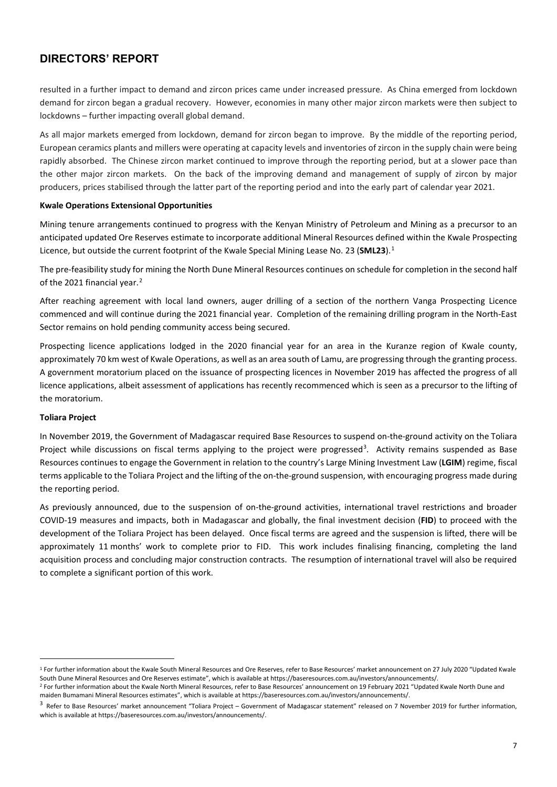resulted in a further impact to demand and zircon prices came under increased pressure. As China emerged from lockdown demand for zircon began a gradual recovery. However, economies in many other major zircon markets were then subject to lockdowns – further impacting overall global demand.

As all major markets emerged from lockdown, demand for zircon began to improve. By the middle of the reporting period, European ceramics plants and millers were operating at capacity levels and inventories of zircon in the supply chain were being rapidly absorbed. The Chinese zircon market continued to improve through the reporting period, but at a slower pace than the other major zircon markets. On the back of the improving demand and management of supply of zircon by major producers, prices stabilised through the latter part of the reporting period and into the early part of calendar year 2021.

#### **Kwale Operations Extensional Opportunities**

Mining tenure arrangements continued to progress with the Kenyan Ministry of Petroleum and Mining as a precursor to an anticipated updated Ore Reserves estimate to incorporate additional Mineral Resources defined within the Kwale Prospecting Licence, but outside the current footprint of the Kwale Special Mining Lease No. 23 (**SML23**). [1](#page-6-0)

The pre-feasibility study for mining the North Dune Mineral Resources continues on schedule for completion in the second half of the [2](#page-6-1)021 financial year.<sup>2</sup>

After reaching agreement with local land owners, auger drilling of a section of the northern Vanga Prospecting Licence commenced and will continue during the 2021 financial year. Completion of the remaining drilling program in the North-East Sector remains on hold pending community access being secured.

Prospecting licence applications lodged in the 2020 financial year for an area in the Kuranze region of Kwale county, approximately 70 km west of Kwale Operations, as well as an area south of Lamu, are progressing through the granting process. A government moratorium placed on the issuance of prospecting licences in November 2019 has affected the progress of all licence applications, albeit assessment of applications has recently recommenced which is seen as a precursor to the lifting of the moratorium.

#### **Toliara Project**

In November 2019, the Government of Madagascar required Base Resources to suspend on-the-ground activity on the Toliara Project while discussions on fiscal terms applying to the project were progressed<sup>[3](#page-6-2)</sup>. Activity remains suspended as Base Resources continues to engage the Government in relation to the country's Large Mining Investment Law (**LGIM**) regime, fiscal terms applicable to the Toliara Project and the lifting of the on-the-ground suspension, with encouraging progress made during the reporting period.

As previously announced, due to the suspension of on-the-ground activities, international travel restrictions and broader COVID-19 measures and impacts, both in Madagascar and globally, the final investment decision (**FID**) to proceed with the development of the Toliara Project has been delayed. Once fiscal terms are agreed and the suspension is lifted, there will be approximately 11 months' work to complete prior to FID. This work includes finalising financing, completing the land acquisition process and concluding major construction contracts. The resumption of international travel will also be required to complete a significant portion of this work.

<span id="page-6-0"></span><sup>1</sup> For further information about the Kwale South Mineral Resources and Ore Reserves, refer to Base Resources' market announcement on 27 July 2020 "Updated Kwale South Dune Mineral Resources and Ore Reserves estimate", which is available at https://baseresources.com.au/investors/announcements/.<br><sup>2</sup> For further information about the Kwale North Mineral Resources, refer to Base Resou

<span id="page-6-1"></span>maiden Bumamani Mineral Resources estimates", which is available at https://baseresources.com.au/investors/announcements/.

<span id="page-6-2"></span><sup>&</sup>lt;sup>3</sup> Refer to Base Resources' market announcement "Toliara Project – Government of Madagascar statement" released on 7 November 2019 for further information, which is available at https://baseresources.com.au/investors/announcements/.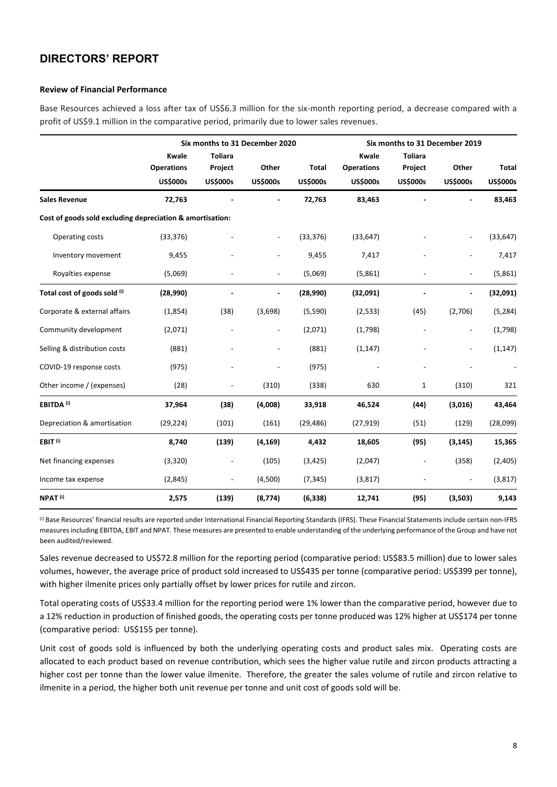#### **Review of Financial Performance**

Base Resources achieved a loss after tax of US\$6.3 million for the six-month reporting period, a decrease compared with a profit of US\$9.1 million in the comparative period, primarily due to lower sales revenues.

|                                                           |                                                      |                                              | Six months to 31 December 2020 |                                 |                                               | Six months to 31 December 2019               |                          |                                 |
|-----------------------------------------------------------|------------------------------------------------------|----------------------------------------------|--------------------------------|---------------------------------|-----------------------------------------------|----------------------------------------------|--------------------------|---------------------------------|
|                                                           | <b>Kwale</b><br><b>Operations</b><br><b>US\$000s</b> | <b>Toliara</b><br>Project<br><b>US\$000s</b> | Other<br><b>US\$000s</b>       | <b>Total</b><br><b>US\$000s</b> | Kwale<br><b>Operations</b><br><b>US\$000s</b> | <b>Toliara</b><br>Project<br><b>US\$000s</b> | Other<br><b>US\$000s</b> | <b>Total</b><br><b>US\$000s</b> |
| <b>Sales Revenue</b>                                      | 72,763                                               |                                              |                                | 72,763                          | 83,463                                        |                                              |                          | 83,463                          |
| Cost of goods sold excluding depreciation & amortisation: |                                                      |                                              |                                |                                 |                                               |                                              |                          |                                 |
| Operating costs                                           | (33, 376)                                            |                                              | L.                             | (33, 376)                       | (33, 647)                                     |                                              |                          | (33, 647)                       |
| Inventory movement                                        | 9,455                                                |                                              | $\blacksquare$                 | 9,455                           | 7,417                                         |                                              | $\overline{a}$           | 7,417                           |
| Royalties expense                                         | (5,069)                                              |                                              | $\overline{a}$                 | (5,069)                         | (5,861)                                       |                                              | $\overline{\phantom{a}}$ | (5,861)                         |
| Total cost of goods sold (i)                              | (28,990)                                             |                                              |                                | (28,990)                        | (32,091)                                      |                                              |                          | (32,091)                        |
| Corporate & external affairs                              | (1,854)                                              | (38)                                         | (3,698)                        | (5,590)                         | (2, 533)                                      | (45)                                         | (2,706)                  | (5, 284)                        |
| Community development                                     | (2,071)                                              |                                              | $\overline{a}$                 | (2,071)                         | (1,798)                                       |                                              | $\overline{a}$           | (1,798)                         |
| Selling & distribution costs                              | (881)                                                |                                              | $\overline{a}$                 | (881)                           | (1, 147)                                      |                                              | $\overline{a}$           | (1, 147)                        |
| COVID-19 response costs                                   | (975)                                                |                                              |                                | (975)                           |                                               |                                              |                          |                                 |
| Other income / (expenses)                                 | (28)                                                 | $\overline{a}$                               | (310)                          | (338)                           | 630                                           | 1                                            | (310)                    | 321                             |
| <b>EBITDA<sup>(i)</sup></b>                               | 37,964                                               | (38)                                         | (4,008)                        | 33,918                          | 46,524                                        | (44)                                         | (3,016)                  | 43,464                          |
| Depreciation & amortisation                               | (29, 224)                                            | (101)                                        | (161)                          | (29, 486)                       | (27, 919)                                     | (51)                                         | (129)                    | (28,099)                        |
| EBIT <sup>(i)</sup>                                       | 8,740                                                | (139)                                        | (4, 169)                       | 4,432                           | 18,605                                        | (95)                                         | (3, 145)                 | 15,365                          |
| Net financing expenses                                    | (3, 320)                                             | $\overline{a}$                               | (105)                          | (3, 425)                        | (2,047)                                       | $\overline{\phantom{a}}$                     | (358)                    | (2,405)                         |
| Income tax expense                                        | (2,845)                                              | $\overline{\phantom{a}}$                     | (4,500)                        | (7, 345)                        | (3, 817)                                      |                                              |                          | (3,817)                         |
| NPAT <sup>(i)</sup>                                       | 2,575                                                | (139)                                        | (8,774)                        | (6, 338)                        | 12,741                                        | (95)                                         | (3,503)                  | 9,143                           |

 $^{(i)}$  Base Resources' financial results are reported under International Financial Reporting Standards (IFRS). These Financial Statements include certain non-IFRS measures including EBITDA, EBIT and NPAT. These measures are presented to enable understanding of the underlying performance of the Group and have not been audited/reviewed.

Sales revenue decreased to US\$72.8 million for the reporting period (comparative period: US\$83.5 million) due to lower sales volumes, however, the average price of product sold increased to US\$435 per tonne (comparative period: US\$399 per tonne), with higher ilmenite prices only partially offset by lower prices for rutile and zircon.

Total operating costs of US\$33.4 million for the reporting period were 1% lower than the comparative period, however due to a 12% reduction in production of finished goods, the operating costs per tonne produced was 12% higher at US\$174 per tonne (comparative period: US\$155 per tonne).

Unit cost of goods sold is influenced by both the underlying operating costs and product sales mix. Operating costs are allocated to each product based on revenue contribution, which sees the higher value rutile and zircon products attracting a higher cost per tonne than the lower value ilmenite. Therefore, the greater the sales volume of rutile and zircon relative to ilmenite in a period, the higher both unit revenue per tonne and unit cost of goods sold will be.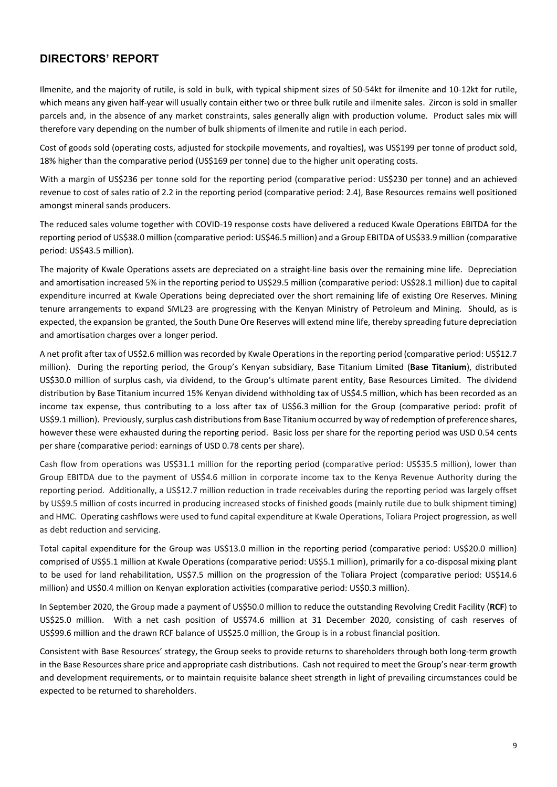Ilmenite, and the majority of rutile, is sold in bulk, with typical shipment sizes of 50-54kt for ilmenite and 10-12kt for rutile, which means any given half-year will usually contain either two or three bulk rutile and ilmenite sales. Zircon is sold in smaller parcels and, in the absence of any market constraints, sales generally align with production volume. Product sales mix will therefore vary depending on the number of bulk shipments of ilmenite and rutile in each period.

Cost of goods sold (operating costs, adjusted for stockpile movements, and royalties), was US\$199 per tonne of product sold, 18% higher than the comparative period (US\$169 per tonne) due to the higher unit operating costs.

With a margin of US\$236 per tonne sold for the reporting period (comparative period: US\$230 per tonne) and an achieved revenue to cost of sales ratio of 2.2 in the reporting period (comparative period: 2.4), Base Resources remains well positioned amongst mineral sands producers.

The reduced sales volume together with COVID-19 response costs have delivered a reduced Kwale Operations EBITDA for the reporting period of US\$38.0 million (comparative period: US\$46.5 million) and a Group EBITDA of US\$33.9 million (comparative period: US\$43.5 million).

The majority of Kwale Operations assets are depreciated on a straight-line basis over the remaining mine life. Depreciation and amortisation increased 5% in the reporting period to US\$29.5 million (comparative period: US\$28.1 million) due to capital expenditure incurred at Kwale Operations being depreciated over the short remaining life of existing Ore Reserves. Mining tenure arrangements to expand SML23 are progressing with the Kenyan Ministry of Petroleum and Mining. Should, as is expected, the expansion be granted, the South Dune Ore Reserves will extend mine life, thereby spreading future depreciation and amortisation charges over a longer period.

A net profit after tax of US\$2.6 million was recorded by Kwale Operations in the reporting period (comparative period: US\$12.7 million). During the reporting period, the Group's Kenyan subsidiary, Base Titanium Limited (**Base Titanium**), distributed US\$30.0 million of surplus cash, via dividend, to the Group's ultimate parent entity, Base Resources Limited. The dividend distribution by Base Titanium incurred 15% Kenyan dividend withholding tax of US\$4.5 million, which has been recorded as an income tax expense, thus contributing to a loss after tax of US\$6.3 million for the Group (comparative period: profit of US\$9.1 million). Previously, surplus cash distributions from Base Titanium occurred by way of redemption of preference shares, however these were exhausted during the reporting period. Basic loss per share for the reporting period was USD 0.54 cents per share (comparative period: earnings of USD 0.78 cents per share).

Cash flow from operations was US\$31.1 million for the reporting period (comparative period: US\$35.5 million), lower than Group EBITDA due to the payment of US\$4.6 million in corporate income tax to the Kenya Revenue Authority during the reporting period. Additionally, a US\$12.7 million reduction in trade receivables during the reporting period was largely offset by US\$9.5 million of costs incurred in producing increased stocks of finished goods (mainly rutile due to bulk shipment timing) and HMC. Operating cashflows were used to fund capital expenditure at Kwale Operations, Toliara Project progression, as well as debt reduction and servicing.

Total capital expenditure for the Group was US\$13.0 million in the reporting period (comparative period: US\$20.0 million) comprised of US\$5.1 million at Kwale Operations (comparative period: US\$5.1 million), primarily for a co-disposal mixing plant to be used for land rehabilitation, US\$7.5 million on the progression of the Toliara Project (comparative period: US\$14.6 million) and US\$0.4 million on Kenyan exploration activities (comparative period: US\$0.3 million).

In September 2020, the Group made a payment of US\$50.0 million to reduce the outstanding Revolving Credit Facility (**RCF**) to US\$25.0 million. With a net cash position of US\$74.6 million at 31 December 2020, consisting of cash reserves of US\$99.6 million and the drawn RCF balance of US\$25.0 million, the Group is in a robust financial position.

Consistent with Base Resources' strategy, the Group seeks to provide returns to shareholders through both long-term growth in the Base Resources share price and appropriate cash distributions. Cash not required to meet the Group's near-term growth and development requirements, or to maintain requisite balance sheet strength in light of prevailing circumstances could be expected to be returned to shareholders.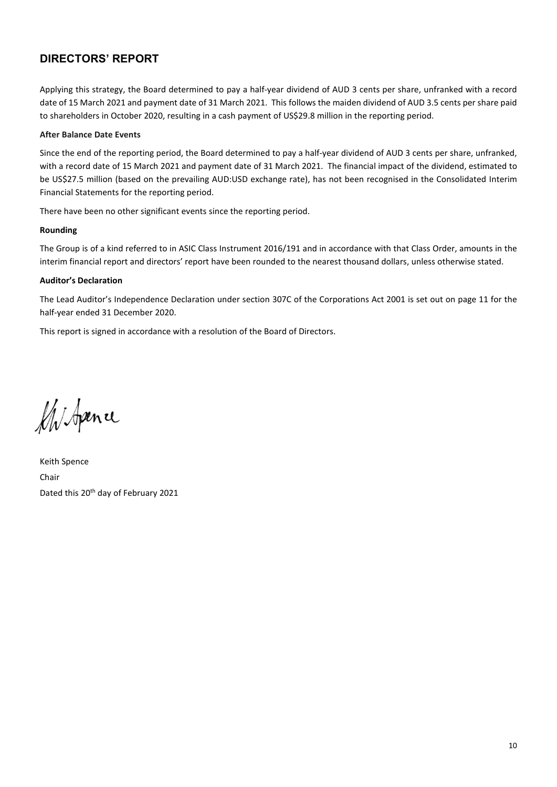Applying this strategy, the Board determined to pay a half-year dividend of AUD 3 cents per share, unfranked with a record date of 15 March 2021 and payment date of 31 March 2021. This follows the maiden dividend of AUD 3.5 cents per share paid to shareholders in October 2020, resulting in a cash payment of US\$29.8 million in the reporting period.

#### **After Balance Date Events**

Since the end of the reporting period, the Board determined to pay a half-year dividend of AUD 3 cents per share, unfranked, with a record date of 15 March 2021 and payment date of 31 March 2021. The financial impact of the dividend, estimated to be US\$27.5 million (based on the prevailing AUD:USD exchange rate), has not been recognised in the Consolidated Interim Financial Statements for the reporting period.

There have been no other significant events since the reporting period.

#### **Rounding**

The Group is of a kind referred to in ASIC Class Instrument 2016/191 and in accordance with that Class Order, amounts in the interim financial report and directors' report have been rounded to the nearest thousand dollars, unless otherwise stated.

#### **Auditor's Declaration**

The Lead Auditor's Independence Declaration under section 307C of the Corporations Act 2001 is set out on page 11 for the half-year ended 31 December 2020.

This report is signed in accordance with a resolution of the Board of Directors.

M. Spence

Keith Spence Chair Dated this 20<sup>th</sup> day of February 2021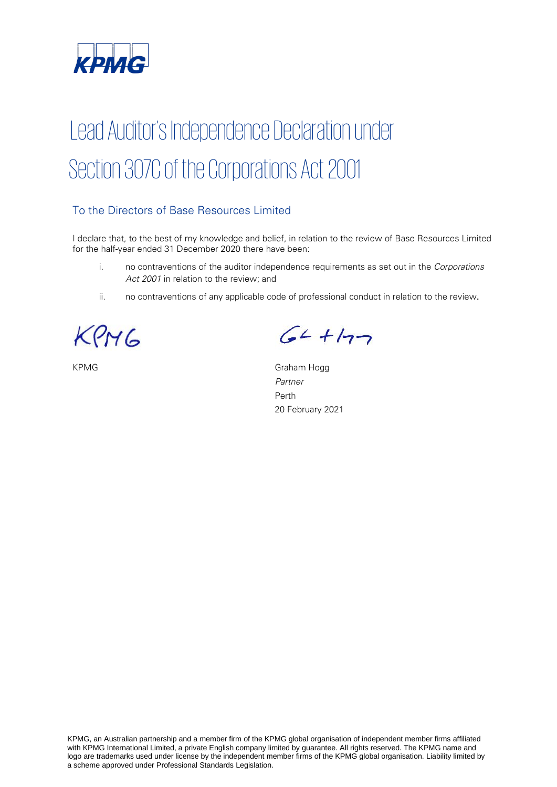

# Lead Auditor's Independence Declaration under Section 307C of the Corporations Act 2001

# To the Directors of Base Resources Limited

I declare that, to the best of my knowledge and belief, in relation to the review of Base Resources Limited for the half-year ended 31 December 2020 there have been:

- i. no contraventions of the auditor independence requirements as set out in the Corporations Act 2001 in relation to the review; and
- ii. no contraventions of any applicable code of professional conduct in relation to the review.

KPMG

 $64 + 177$ 

KPMG Graham Hogg Partner Perth 20 February 2021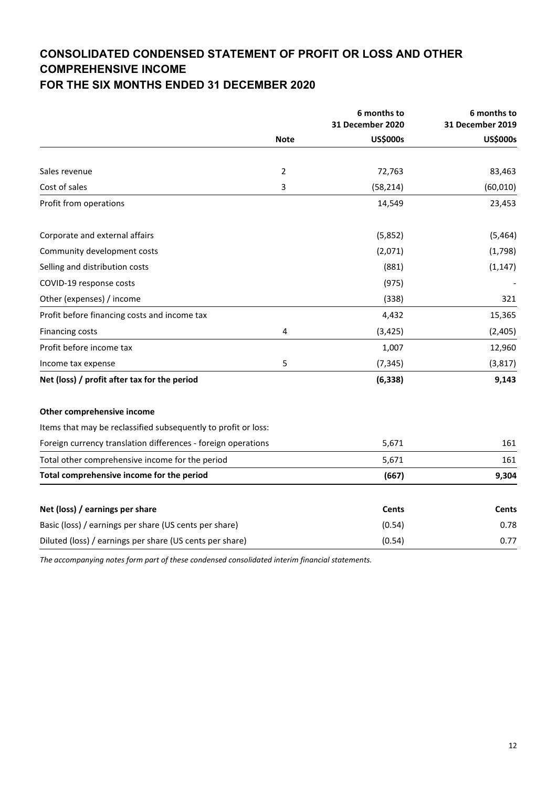# **CONSOLIDATED CONDENSED STATEMENT OF PROFIT OR LOSS AND OTHER COMPREHENSIVE INCOME**

# **FOR THE SIX MONTHS ENDED 31 DECEMBER 2020**

|                                                                |                | 6 months to<br>31 December 2020 | 6 months to<br>31 December 2019 |
|----------------------------------------------------------------|----------------|---------------------------------|---------------------------------|
|                                                                | <b>Note</b>    | <b>US\$000s</b>                 | <b>US\$000s</b>                 |
|                                                                |                |                                 |                                 |
| Sales revenue                                                  | $\overline{2}$ | 72,763                          | 83,463                          |
| Cost of sales                                                  | 3              | (58, 214)                       | (60, 010)                       |
| Profit from operations                                         |                | 14,549                          | 23,453                          |
| Corporate and external affairs                                 |                | (5,852)                         | (5, 464)                        |
| Community development costs                                    |                | (2,071)                         | (1,798)                         |
| Selling and distribution costs                                 |                | (881)                           | (1, 147)                        |
| COVID-19 response costs                                        |                | (975)                           |                                 |
| Other (expenses) / income                                      |                | (338)                           | 321                             |
| Profit before financing costs and income tax                   |                | 4,432                           | 15,365                          |
| <b>Financing costs</b>                                         | 4              | (3, 425)                        | (2,405)                         |
| Profit before income tax                                       |                | 1,007                           | 12,960                          |
| Income tax expense                                             | 5              | (7, 345)                        | (3, 817)                        |
| Net (loss) / profit after tax for the period                   |                | (6, 338)                        | 9,143                           |
| Other comprehensive income                                     |                |                                 |                                 |
| Items that may be reclassified subsequently to profit or loss: |                |                                 |                                 |
| Foreign currency translation differences - foreign operations  |                | 5,671                           | 161                             |
| Total other comprehensive income for the period                |                | 5,671                           | 161                             |
| Total comprehensive income for the period                      |                | (667)                           | 9,304                           |
| Net (loss) / earnings per share                                |                | <b>Cents</b>                    | <b>Cents</b>                    |
| Basic (loss) / earnings per share (US cents per share)         |                | (0.54)                          | 0.78                            |
| Diluted (loss) / earnings per share (US cents per share)       |                | (0.54)                          | 0.77                            |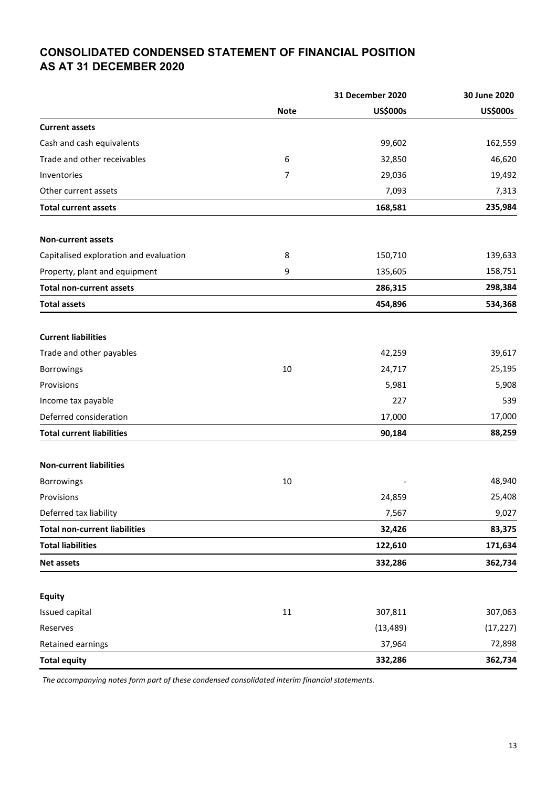# **CONSOLIDATED CONDENSED STATEMENT OF FINANCIAL POSITION AS AT 31 DECEMBER 2020**

|                                        |             | 31 December 2020 | 30 June 2020    |
|----------------------------------------|-------------|------------------|-----------------|
|                                        | <b>Note</b> | <b>US\$000s</b>  | <b>US\$000s</b> |
| <b>Current assets</b>                  |             |                  |                 |
| Cash and cash equivalents              |             | 99,602           | 162,559         |
| Trade and other receivables            | 6           | 32,850           | 46,620          |
| Inventories                            | 7           | 29,036           | 19,492          |
| Other current assets                   |             | 7,093            | 7,313           |
| <b>Total current assets</b>            |             | 168,581          | 235,984         |
| Non-current assets                     |             |                  |                 |
| Capitalised exploration and evaluation | 8           | 150,710          | 139,633         |
| Property, plant and equipment          | 9           | 135,605          | 158,751         |
| <b>Total non-current assets</b>        |             | 286,315          | 298,384         |
| <b>Total assets</b>                    |             | 454,896          | 534,368         |
| <b>Current liabilities</b>             |             |                  |                 |
| Trade and other payables               |             | 42,259           | 39,617          |
| Borrowings                             | 10          | 24,717           | 25,195          |
| Provisions                             |             | 5,981            | 5,908           |
| Income tax payable                     |             | 227              | 539             |
| Deferred consideration                 |             | 17,000           | 17,000          |
| <b>Total current liabilities</b>       |             | 90,184           | 88,259          |
| <b>Non-current liabilities</b>         |             |                  |                 |
| Borrowings                             | 10          |                  | 48,940          |
| Provisions                             |             | 24,859           | 25,408          |
| Deferred tax liability                 |             | 7,567            | 9,027           |
| <b>Total non-current liabilities</b>   |             | 32,426           | 83,375          |
| <b>Total liabilities</b>               |             | 122,610          | 171,634         |
| <b>Net assets</b>                      |             | 332,286          | 362,734         |
| <b>Equity</b>                          |             |                  |                 |
| Issued capital                         | $11\,$      | 307,811          | 307,063         |
| Reserves                               |             | (13, 489)        | (17, 227)       |
| Retained earnings                      |             | 37,964           | 72,898          |
| <b>Total equity</b>                    |             | 332,286          | 362,734         |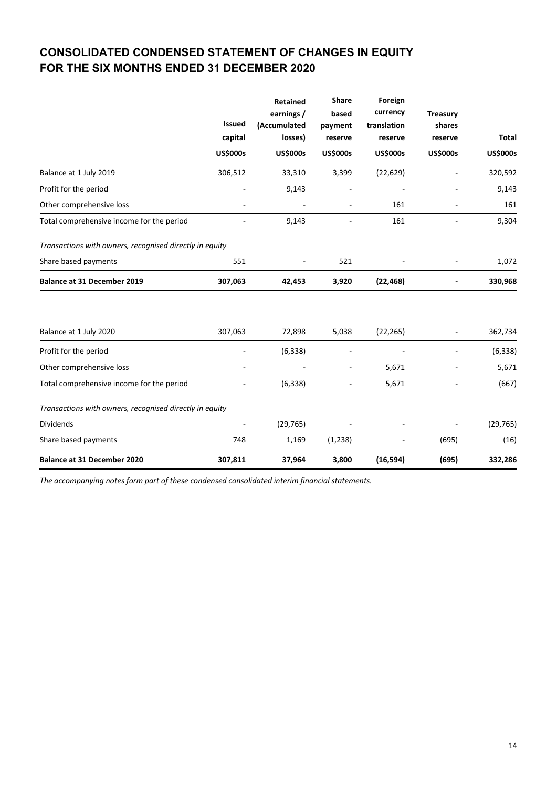# **CONSOLIDATED CONDENSED STATEMENT OF CHANGES IN EQUITY FOR THE SIX MONTHS ENDED 31 DECEMBER 2020**

|                                                         | <b>Issued</b><br>capital<br><b>US\$000s</b> | Retained<br>earnings /<br>(Accumulated<br>losses)<br><b>US\$000s</b> | <b>Share</b><br>based<br>payment<br>reserve<br><b>US\$000s</b> | Foreign<br>currency<br>translation<br>reserve<br><b>US\$000s</b> | <b>Treasury</b><br>shares<br>reserve<br><b>US\$000s</b> | <b>Total</b><br><b>US\$000s</b> |
|---------------------------------------------------------|---------------------------------------------|----------------------------------------------------------------------|----------------------------------------------------------------|------------------------------------------------------------------|---------------------------------------------------------|---------------------------------|
| Balance at 1 July 2019                                  | 306,512                                     | 33,310                                                               | 3,399                                                          | (22, 629)                                                        |                                                         | 320,592                         |
| Profit for the period                                   |                                             | 9,143                                                                |                                                                |                                                                  |                                                         | 9,143                           |
| Other comprehensive loss                                |                                             |                                                                      |                                                                | 161                                                              |                                                         | 161                             |
| Total comprehensive income for the period               |                                             | 9,143                                                                |                                                                | 161                                                              |                                                         | 9,304                           |
| Transactions with owners, recognised directly in equity |                                             |                                                                      |                                                                |                                                                  |                                                         |                                 |
| Share based payments                                    | 551                                         |                                                                      | 521                                                            |                                                                  |                                                         | 1,072                           |
| <b>Balance at 31 December 2019</b>                      | 307,063                                     | 42,453                                                               | 3,920                                                          | (22, 468)                                                        |                                                         | 330,968                         |
| Balance at 1 July 2020                                  | 307,063                                     | 72,898                                                               | 5,038                                                          | (22, 265)                                                        |                                                         | 362,734                         |
| Profit for the period                                   |                                             | (6, 338)                                                             |                                                                |                                                                  |                                                         | (6, 338)                        |
| Other comprehensive loss                                |                                             |                                                                      | ٠                                                              | 5,671                                                            |                                                         | 5,671                           |
| Total comprehensive income for the period               |                                             | (6, 338)                                                             |                                                                | 5,671                                                            |                                                         | (667)                           |
| Transactions with owners, recognised directly in equity |                                             |                                                                      |                                                                |                                                                  |                                                         |                                 |
| <b>Dividends</b>                                        |                                             | (29, 765)                                                            |                                                                |                                                                  |                                                         | (29, 765)                       |
| Share based payments                                    | 748                                         | 1,169                                                                | (1,238)                                                        |                                                                  | (695)                                                   | (16)                            |
| <b>Balance at 31 December 2020</b>                      | 307,811                                     | 37,964                                                               | 3,800                                                          | (16, 594)                                                        | (695)                                                   | 332,286                         |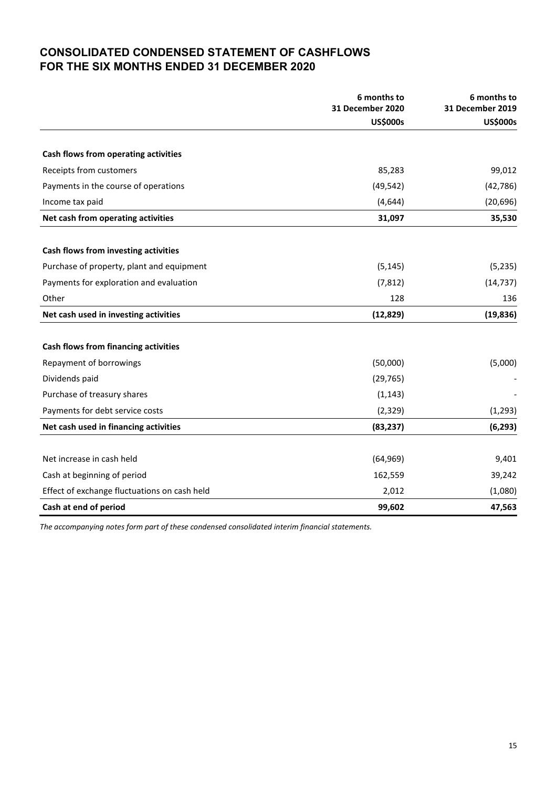# **CONSOLIDATED CONDENSED STATEMENT OF CASHFLOWS FOR THE SIX MONTHS ENDED 31 DECEMBER 2020**

|                                              | 6 months to                         | 6 months to                         |
|----------------------------------------------|-------------------------------------|-------------------------------------|
|                                              | 31 December 2020<br><b>US\$000s</b> | 31 December 2019<br><b>US\$000s</b> |
|                                              |                                     |                                     |
| Cash flows from operating activities         |                                     |                                     |
| Receipts from customers                      | 85,283                              | 99,012                              |
| Payments in the course of operations         | (49, 542)                           | (42, 786)                           |
| Income tax paid                              | (4,644)                             | (20, 696)                           |
| Net cash from operating activities           | 31,097                              | 35,530                              |
| Cash flows from investing activities         |                                     |                                     |
| Purchase of property, plant and equipment    | (5, 145)                            | (5, 235)                            |
| Payments for exploration and evaluation      | (7, 812)                            | (14, 737)                           |
| Other                                        | 128                                 | 136                                 |
| Net cash used in investing activities        | (12, 829)                           | (19, 836)                           |
| Cash flows from financing activities         |                                     |                                     |
| Repayment of borrowings                      | (50,000)                            | (5,000)                             |
| Dividends paid                               | (29, 765)                           |                                     |
| Purchase of treasury shares                  | (1, 143)                            |                                     |
| Payments for debt service costs              | (2, 329)                            | (1, 293)                            |
| Net cash used in financing activities        | (83, 237)                           | (6, 293)                            |
|                                              |                                     |                                     |
| Net increase in cash held                    | (64, 969)                           | 9,401                               |
| Cash at beginning of period                  | 162,559                             | 39,242                              |
| Effect of exchange fluctuations on cash held | 2,012                               | (1,080)                             |
| Cash at end of period                        | 99,602                              | 47,563                              |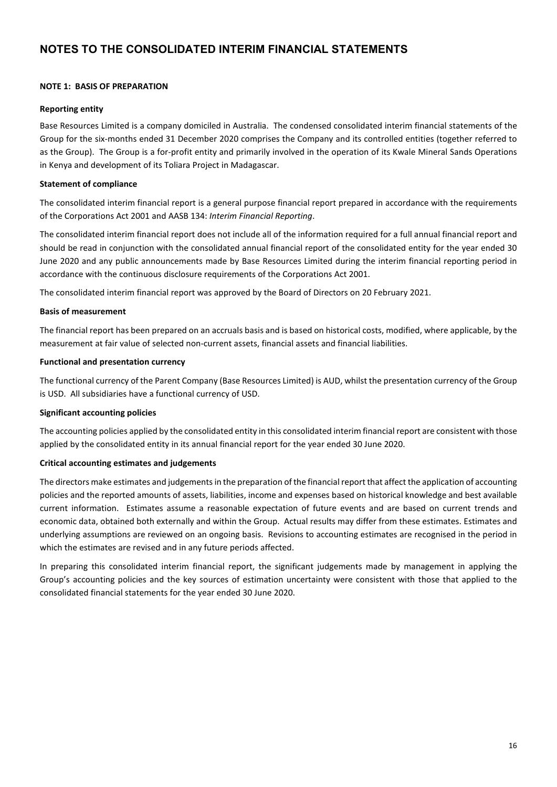#### **NOTE 1: BASIS OF PREPARATION**

#### **Reporting entity**

Base Resources Limited is a company domiciled in Australia. The condensed consolidated interim financial statements of the Group for the six-months ended 31 December 2020 comprises the Company and its controlled entities (together referred to as the Group). The Group is a for-profit entity and primarily involved in the operation of its Kwale Mineral Sands Operations in Kenya and development of its Toliara Project in Madagascar.

#### **Statement of compliance**

The consolidated interim financial report is a general purpose financial report prepared in accordance with the requirements of the Corporations Act 2001 and AASB 134: *Interim Financial Reporting*.

The consolidated interim financial report does not include all of the information required for a full annual financial report and should be read in conjunction with the consolidated annual financial report of the consolidated entity for the year ended 30 June 2020 and any public announcements made by Base Resources Limited during the interim financial reporting period in accordance with the continuous disclosure requirements of the Corporations Act 2001.

The consolidated interim financial report was approved by the Board of Directors on 20 February 2021.

#### **Basis of measurement**

The financial report has been prepared on an accruals basis and is based on historical costs, modified, where applicable, by the measurement at fair value of selected non-current assets, financial assets and financial liabilities.

#### **Functional and presentation currency**

The functional currency of the Parent Company (Base Resources Limited) is AUD, whilst the presentation currency of the Group is USD. All subsidiaries have a functional currency of USD.

#### **Significant accounting policies**

The accounting policies applied by the consolidated entity in this consolidated interim financial report are consistent with those applied by the consolidated entity in its annual financial report for the year ended 30 June 2020.

#### **Critical accounting estimates and judgements**

The directors make estimates and judgements in the preparation of the financial report that affect the application of accounting policies and the reported amounts of assets, liabilities, income and expenses based on historical knowledge and best available current information. Estimates assume a reasonable expectation of future events and are based on current trends and economic data, obtained both externally and within the Group. Actual results may differ from these estimates. Estimates and underlying assumptions are reviewed on an ongoing basis. Revisions to accounting estimates are recognised in the period in which the estimates are revised and in any future periods affected.

In preparing this consolidated interim financial report, the significant judgements made by management in applying the Group's accounting policies and the key sources of estimation uncertainty were consistent with those that applied to the consolidated financial statements for the year ended 30 June 2020.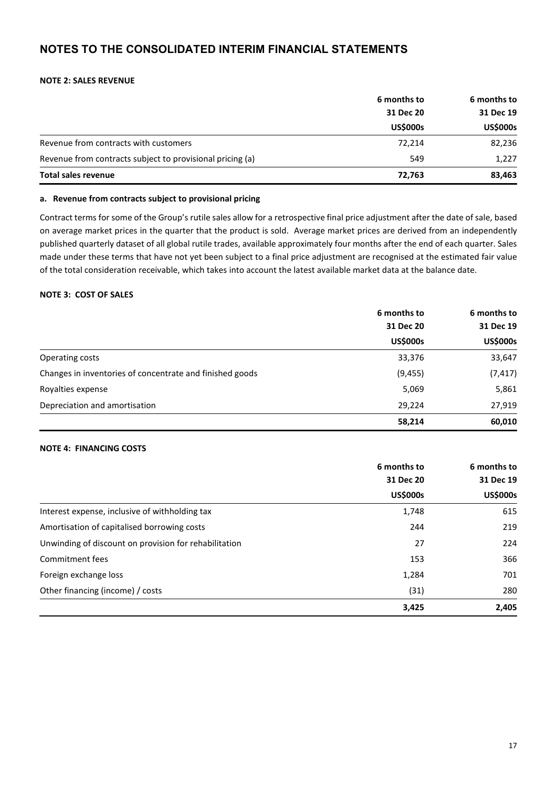#### **NOTE 2: SALES REVENUE**

|                                                           | 6 months to<br>31 Dec 20<br><b>US\$000s</b> | 6 months to     |           |
|-----------------------------------------------------------|---------------------------------------------|-----------------|-----------|
|                                                           |                                             |                 | 31 Dec 19 |
|                                                           |                                             | <b>US\$000s</b> |           |
| Revenue from contracts with customers                     | 72,214                                      | 82,236          |           |
| Revenue from contracts subject to provisional pricing (a) | 549                                         | 1,227           |           |
| <b>Total sales revenue</b>                                | 72,763                                      | 83,463          |           |

#### **a. Revenue from contracts subject to provisional pricing**

Contract terms for some of the Group's rutile sales allow for a retrospective final price adjustment after the date of sale, based on average market prices in the quarter that the product is sold. Average market prices are derived from an independently published quarterly dataset of all global rutile trades, available approximately four months after the end of each quarter. Sales made under these terms that have not yet been subject to a final price adjustment are recognised at the estimated fair value of the total consideration receivable, which takes into account the latest available market data at the balance date.

#### **NOTE 3: COST OF SALES**

|                                                          | 6 months to<br>31 Dec 20 | 6 months to     |  |
|----------------------------------------------------------|--------------------------|-----------------|--|
|                                                          |                          | 31 Dec 19       |  |
|                                                          | <b>US\$000s</b>          | <b>US\$000s</b> |  |
| Operating costs                                          | 33,376                   | 33,647          |  |
| Changes in inventories of concentrate and finished goods | (9, 455)                 | (7, 417)        |  |
| Royalties expense                                        | 5,069                    | 5,861           |  |
| Depreciation and amortisation                            | 29,224                   | 27,919          |  |
|                                                          | 58,214                   | 60,010          |  |

#### **NOTE 4: FINANCING COSTS**

|                                                       | 6 months to     | 6 months to<br>31 Dec 19 |
|-------------------------------------------------------|-----------------|--------------------------|
|                                                       | 31 Dec 20       |                          |
|                                                       | <b>US\$000s</b> | <b>US\$000s</b>          |
| Interest expense, inclusive of withholding tax        | 1,748           | 615                      |
| Amortisation of capitalised borrowing costs           | 244             | 219                      |
| Unwinding of discount on provision for rehabilitation | 27              | 224                      |
| Commitment fees                                       | 153             | 366                      |
| Foreign exchange loss                                 | 1,284           | 701                      |
| Other financing (income) / costs                      | (31)            | 280                      |
|                                                       | 3,425           | 2,405                    |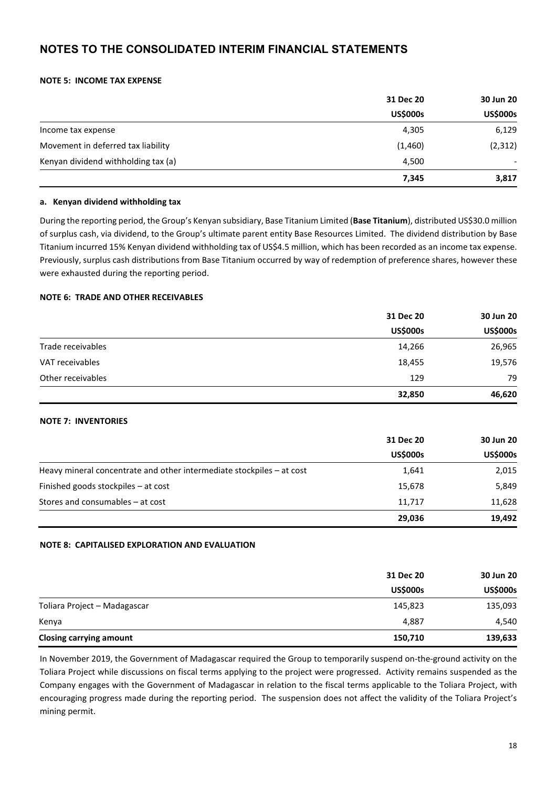#### **NOTE 5: INCOME TAX EXPENSE**

|                                     | 31 Dec 20       | 30 Jun 20       |
|-------------------------------------|-----------------|-----------------|
|                                     | <b>US\$000s</b> | <b>US\$000s</b> |
| Income tax expense                  | 4,305           | 6,129           |
| Movement in deferred tax liability  | (1,460)         | (2, 312)        |
| Kenyan dividend withholding tax (a) | 4,500           |                 |
|                                     | 7,345           | 3,817           |

#### **a. Kenyan dividend withholding tax**

During the reporting period, the Group's Kenyan subsidiary, Base Titanium Limited (**Base Titanium**), distributed US\$30.0 million of surplus cash, via dividend, to the Group's ultimate parent entity Base Resources Limited. The dividend distribution by Base Titanium incurred 15% Kenyan dividend withholding tax of US\$4.5 million, which has been recorded as an income tax expense. Previously, surplus cash distributions from Base Titanium occurred by way of redemption of preference shares, however these were exhausted during the reporting period.

#### **NOTE 6: TRADE AND OTHER RECEIVABLES**

|                   | 31 Dec 20       | 30 Jun 20       |
|-------------------|-----------------|-----------------|
|                   | <b>US\$000s</b> | <b>US\$000s</b> |
| Trade receivables | 14,266          | 26,965          |
| VAT receivables   | 18,455          | 19,576          |
| Other receivables | 129             | 79              |
|                   | 32,850          | 46,620          |

#### **NOTE 7: INVENTORIES**

|                                                                       | 31 Dec 20       | 30 Jun 20<br><b>US\$000s</b> |
|-----------------------------------------------------------------------|-----------------|------------------------------|
|                                                                       | <b>US\$000s</b> |                              |
| Heavy mineral concentrate and other intermediate stockpiles – at cost | 1,641           | 2,015                        |
| Finished goods stockpiles - at cost                                   | 15,678          | 5,849                        |
| Stores and consumables - at cost                                      | 11,717          | 11,628                       |
|                                                                       | 29,036          | 19,492                       |

#### **NOTE 8: CAPITALISED EXPLORATION AND EVALUATION**

|                                | 31 Dec 20       | 30 Jun 20       |
|--------------------------------|-----------------|-----------------|
|                                | <b>US\$000s</b> | <b>US\$000s</b> |
| Toliara Project - Madagascar   | 145,823         | 135,093         |
| Kenya                          | 4,887           | 4,540           |
| <b>Closing carrying amount</b> | 150,710         | 139,633         |

In November 2019, the Government of Madagascar required the Group to temporarily suspend on-the-ground activity on the Toliara Project while discussions on fiscal terms applying to the project were progressed. Activity remains suspended as the Company engages with the Government of Madagascar in relation to the fiscal terms applicable to the Toliara Project, with encouraging progress made during the reporting period. The suspension does not affect the validity of the Toliara Project's mining permit.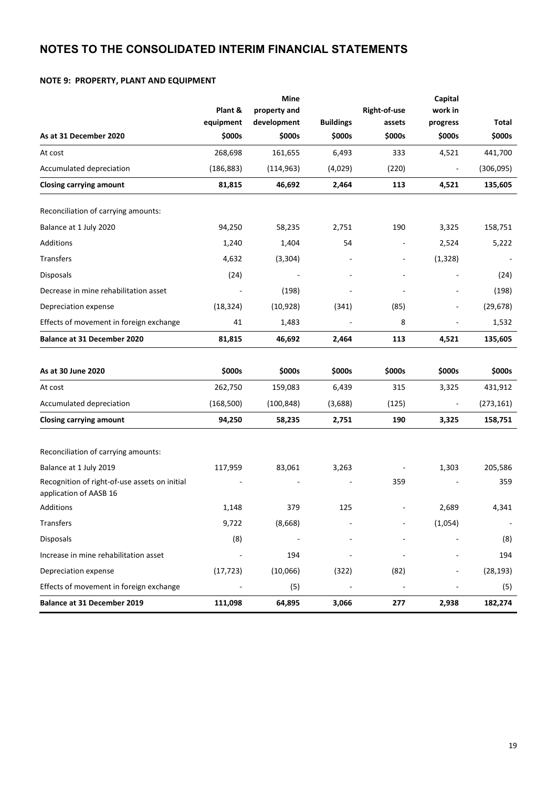#### **NOTE 9: PROPERTY, PLANT AND EQUIPMENT**

|                                                                         |            | Mine         |                  |                          | Capital                      |            |
|-------------------------------------------------------------------------|------------|--------------|------------------|--------------------------|------------------------------|------------|
|                                                                         | Plant &    | property and |                  | Right-of-use             | work in                      |            |
|                                                                         | equipment  | development  | <b>Buildings</b> | assets                   | progress                     | Total      |
| As at 31 December 2020                                                  | \$000s     | \$000s       | \$000s           | \$000s                   | \$000s                       | \$000s     |
| At cost                                                                 | 268,698    | 161,655      | 6,493            | 333                      | 4,521                        | 441,700    |
| Accumulated depreciation                                                | (186, 883) | (114, 963)   | (4,029)          | (220)                    |                              | (306,095)  |
| <b>Closing carrying amount</b>                                          | 81,815     | 46,692       | 2,464            | 113                      | 4,521                        | 135,605    |
| Reconciliation of carrying amounts:                                     |            |              |                  |                          |                              |            |
| Balance at 1 July 2020                                                  | 94,250     | 58,235       | 2,751            | 190                      | 3,325                        | 158,751    |
| Additions                                                               | 1,240      | 1,404        | 54               | $\overline{\phantom{a}}$ | 2,524                        | 5,222      |
| <b>Transfers</b>                                                        | 4,632      | (3, 304)     |                  |                          | (1, 328)                     |            |
| Disposals                                                               | (24)       |              |                  |                          |                              | (24)       |
| Decrease in mine rehabilitation asset                                   |            | (198)        |                  |                          |                              | (198)      |
| Depreciation expense                                                    | (18, 324)  | (10, 928)    | (341)            | (85)                     | $\overline{\phantom{0}}$     | (29, 678)  |
| Effects of movement in foreign exchange                                 | 41         | 1,483        |                  | 8                        | $\qquad \qquad \blacksquare$ | 1,532      |
| Balance at 31 December 2020                                             | 81,815     | 46,692       | 2,464            | 113                      | 4,521                        | 135,605    |
| As at 30 June 2020                                                      | \$000s     | \$000s       | \$000s           | \$000s                   | \$000s                       | \$000s     |
| At cost                                                                 | 262,750    | 159,083      | 6,439            | 315                      | 3,325                        | 431,912    |
| Accumulated depreciation                                                | (168, 500) | (100, 848)   | (3,688)          | (125)                    |                              | (273, 161) |
| <b>Closing carrying amount</b>                                          | 94,250     | 58,235       | 2,751            | 190                      | 3,325                        | 158,751    |
| Reconciliation of carrying amounts:                                     |            |              |                  |                          |                              |            |
| Balance at 1 July 2019                                                  | 117,959    | 83,061       | 3,263            |                          | 1,303                        | 205,586    |
| Recognition of right-of-use assets on initial<br>application of AASB 16 |            |              |                  | 359                      |                              | 359        |
| <b>Additions</b>                                                        | 1,148      | 379          | 125              | $\overline{\phantom{a}}$ | 2,689                        | 4,341      |
| Transfers                                                               | 9,722      | (8,668)      |                  |                          | (1,054)                      |            |
| Disposals                                                               | (8)        |              |                  |                          |                              | (8)        |
| Increase in mine rehabilitation asset                                   |            | 194          |                  |                          |                              | 194        |
| Depreciation expense                                                    | (17, 723)  | (10,066)     | (322)            | (82)                     |                              | (28, 193)  |
| Effects of movement in foreign exchange                                 |            | (5)          |                  |                          |                              | (5)        |
| <b>Balance at 31 December 2019</b>                                      | 111,098    | 64,895       | 3,066            | 277                      | 2,938                        | 182,274    |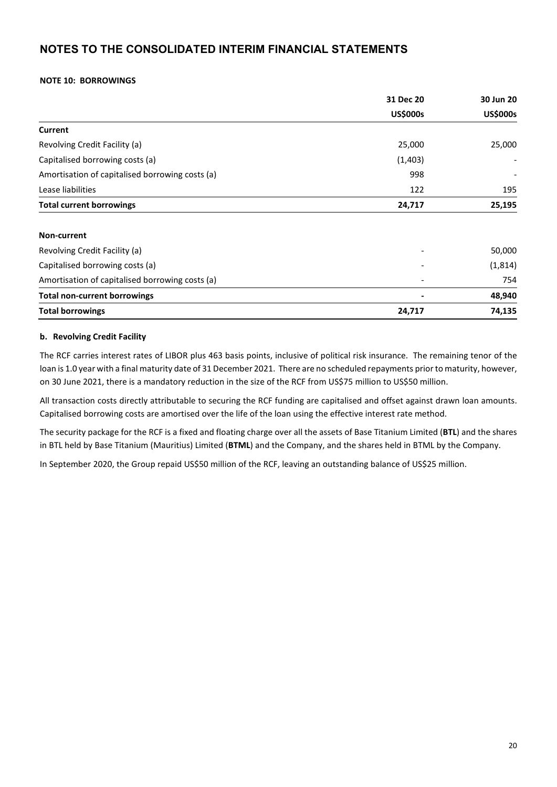#### **NOTE 10: BORROWINGS**

|                                                 | 31 Dec 20       | 30 Jun 20       |
|-------------------------------------------------|-----------------|-----------------|
|                                                 | <b>US\$000s</b> | <b>US\$000s</b> |
| Current                                         |                 |                 |
| Revolving Credit Facility (a)                   | 25,000          | 25,000          |
| Capitalised borrowing costs (a)                 | (1,403)         |                 |
| Amortisation of capitalised borrowing costs (a) | 998             |                 |
| Lease liabilities                               | 122             | 195             |
| <b>Total current borrowings</b>                 | 24,717          | 25,195          |
| Non-current                                     |                 |                 |
| Revolving Credit Facility (a)                   |                 | 50,000          |
| Capitalised borrowing costs (a)                 |                 | (1,814)         |
| Amortisation of capitalised borrowing costs (a) |                 | 754             |
| <b>Total non-current borrowings</b>             |                 | 48,940          |
| <b>Total borrowings</b>                         | 24,717          | 74,135          |

#### **b. Revolving Credit Facility**

The RCF carries interest rates of LIBOR plus 463 basis points, inclusive of political risk insurance. The remaining tenor of the loan is 1.0 year with a final maturity date of 31 December 2021. There are no scheduled repayments prior to maturity, however, on 30 June 2021, there is a mandatory reduction in the size of the RCF from US\$75 million to US\$50 million.

All transaction costs directly attributable to securing the RCF funding are capitalised and offset against drawn loan amounts. Capitalised borrowing costs are amortised over the life of the loan using the effective interest rate method.

The security package for the RCF is a fixed and floating charge over all the assets of Base Titanium Limited (**BTL**) and the shares in BTL held by Base Titanium (Mauritius) Limited (**BTML**) and the Company, and the shares held in BTML by the Company.

In September 2020, the Group repaid US\$50 million of the RCF, leaving an outstanding balance of US\$25 million.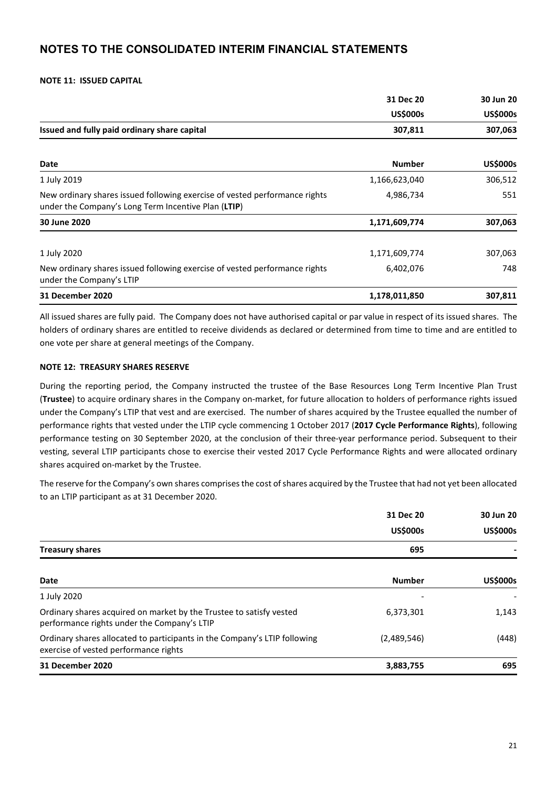#### **NOTE 11: ISSUED CAPITAL**

|                                                                                                                                   | 31 Dec 20       | 30 Jun 20       |
|-----------------------------------------------------------------------------------------------------------------------------------|-----------------|-----------------|
|                                                                                                                                   | <b>US\$000s</b> | <b>US\$000s</b> |
| Issued and fully paid ordinary share capital                                                                                      | 307,811         | 307,063         |
| Date                                                                                                                              | <b>Number</b>   | <b>US\$000s</b> |
| 1 July 2019                                                                                                                       | 1,166,623,040   | 306,512         |
| New ordinary shares issued following exercise of vested performance rights<br>under the Company's Long Term Incentive Plan (LTIP) | 4,986,734       | 551             |
| 30 June 2020                                                                                                                      | 1,171,609,774   | 307,063         |
| 1 July 2020                                                                                                                       | 1,171,609,774   | 307,063         |
| New ordinary shares issued following exercise of vested performance rights<br>under the Company's LTIP                            | 6,402,076       | 748             |
| <b>31 December 2020</b>                                                                                                           | 1,178,011,850   | 307,811         |

All issued shares are fully paid. The Company does not have authorised capital or par value in respect of its issued shares. The holders of ordinary shares are entitled to receive dividends as declared or determined from time to time and are entitled to one vote per share at general meetings of the Company.

#### **NOTE 12: TREASURY SHARES RESERVE**

During the reporting period, the Company instructed the trustee of the Base Resources Long Term Incentive Plan Trust (**Trustee**) to acquire ordinary shares in the Company on-market, for future allocation to holders of performance rights issued under the Company's LTIP that vest and are exercised. The number of shares acquired by the Trustee equalled the number of performance rights that vested under the LTIP cycle commencing 1 October 2017 (**2017 Cycle Performance Rights**), following performance testing on 30 September 2020, at the conclusion of their three-year performance period. Subsequent to their vesting, several LTIP participants chose to exercise their vested 2017 Cycle Performance Rights and were allocated ordinary shares acquired on-market by the Trustee.

The reserve for the Company's own shares comprises the cost ofshares acquired by the Trustee that had not yet been allocated to an LTIP participant as at 31 December 2020.

|                                                                                                                    | 31 Dec 20<br><b>US\$000s</b> | 30 Jun 20<br><b>US\$000s</b> |
|--------------------------------------------------------------------------------------------------------------------|------------------------------|------------------------------|
| <b>Treasury shares</b>                                                                                             | 695                          |                              |
| Date                                                                                                               | <b>Number</b>                | <b>US\$000s</b>              |
| 1 July 2020                                                                                                        |                              |                              |
| Ordinary shares acquired on market by the Trustee to satisfy vested<br>performance rights under the Company's LTIP | 6,373,301                    | 1,143                        |
| Ordinary shares allocated to participants in the Company's LTIP following<br>exercise of vested performance rights | (2,489,546)                  | (448)                        |
| 31 December 2020                                                                                                   | 3,883,755                    | 695                          |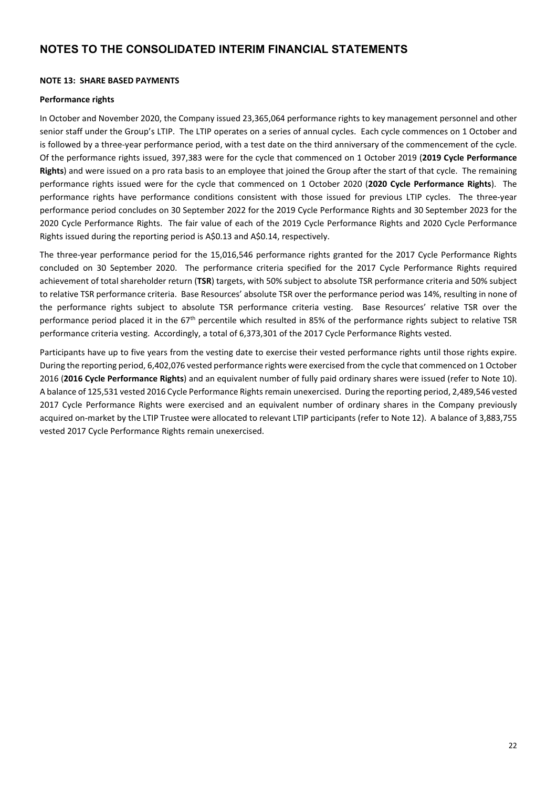#### **NOTE 13: SHARE BASED PAYMENTS**

#### **Performance rights**

In October and November 2020, the Company issued 23,365,064 performance rights to key management personnel and other senior staff under the Group's LTIP. The LTIP operates on a series of annual cycles. Each cycle commences on 1 October and is followed by a three-year performance period, with a test date on the third anniversary of the commencement of the cycle. Of the performance rights issued, 397,383 were for the cycle that commenced on 1 October 2019 (**2019 Cycle Performance Rights**) and were issued on a pro rata basis to an employee that joined the Group after the start of that cycle. The remaining performance rights issued were for the cycle that commenced on 1 October 2020 (**2020 Cycle Performance Rights**). The performance rights have performance conditions consistent with those issued for previous LTIP cycles. The three-year performance period concludes on 30 September 2022 for the 2019 Cycle Performance Rights and 30 September 2023 for the 2020 Cycle Performance Rights. The fair value of each of the 2019 Cycle Performance Rights and 2020 Cycle Performance Rights issued during the reporting period is A\$0.13 and A\$0.14, respectively.

The three-year performance period for the 15,016,546 performance rights granted for the 2017 Cycle Performance Rights concluded on 30 September 2020. The performance criteria specified for the 2017 Cycle Performance Rights required achievement of total shareholder return (**TSR**) targets, with 50% subject to absolute TSR performance criteria and 50% subject to relative TSR performance criteria. Base Resources' absolute TSR over the performance period was 14%, resulting in none of the performance rights subject to absolute TSR performance criteria vesting. Base Resources' relative TSR over the performance period placed it in the 67<sup>th</sup> percentile which resulted in 85% of the performance rights subject to relative TSR performance criteria vesting. Accordingly, a total of 6,373,301 of the 2017 Cycle Performance Rights vested.

Participants have up to five years from the vesting date to exercise their vested performance rights until those rights expire. During the reporting period, 6,402,076 vested performance rights were exercised from the cycle that commenced on 1 October 2016 (**2016 Cycle Performance Rights**) and an equivalent number of fully paid ordinary shares were issued (refer to Note 10). A balance of 125,531 vested 2016 Cycle Performance Rights remain unexercised. During the reporting period, 2,489,546 vested 2017 Cycle Performance Rights were exercised and an equivalent number of ordinary shares in the Company previously acquired on-market by the LTIP Trustee were allocated to relevant LTIP participants (refer to Note 12). A balance of 3,883,755 vested 2017 Cycle Performance Rights remain unexercised.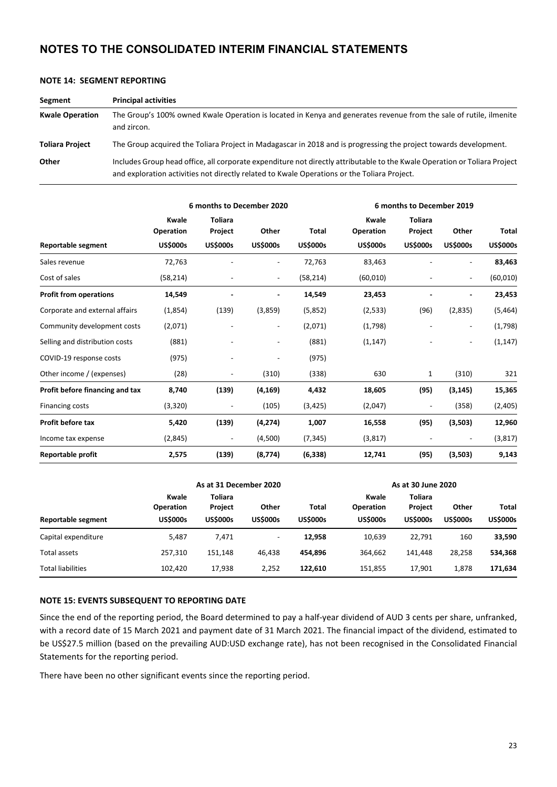| Segment                | <b>Principal activities</b>                                                                                                                                                                                              |
|------------------------|--------------------------------------------------------------------------------------------------------------------------------------------------------------------------------------------------------------------------|
| <b>Kwale Operation</b> | The Group's 100% owned Kwale Operation is located in Kenya and generates revenue from the sale of rutile, ilmenite<br>and zircon.                                                                                        |
| <b>Toliara Project</b> | The Group acquired the Toliara Project in Madagascar in 2018 and is progressing the project towards development.                                                                                                         |
| Other                  | Includes Group head office, all corporate expenditure not directly attributable to the Kwale Operation or Toliara Project<br>and exploration activities not directly related to Kwale Operations or the Toliara Project. |

| NOTE 14: SEGMENT REPORTING |
|----------------------------|
|----------------------------|

|                                 |                    | 6 months to December 2020 |                              |                 | 6 months to December 2019 |                           |                              |                 |
|---------------------------------|--------------------|---------------------------|------------------------------|-----------------|---------------------------|---------------------------|------------------------------|-----------------|
|                                 | Kwale<br>Operation | <b>Toliara</b><br>Project | Other                        | Total           | Kwale<br>Operation        | <b>Toliara</b><br>Project | Other                        | <b>Total</b>    |
| Reportable segment              | <b>US\$000s</b>    | <b>US\$000s</b>           | <b>US\$000s</b>              | <b>US\$000s</b> | <b>US\$000s</b>           | <b>US\$000s</b>           | <b>US\$000s</b>              | <b>US\$000s</b> |
| Sales revenue                   | 72,763             |                           |                              | 72,763          | 83,463                    |                           |                              | 83,463          |
| Cost of sales                   | (58, 214)          |                           | $\overline{\phantom{a}}$     | (58, 214)       | (60, 010)                 |                           |                              | (60, 010)       |
| <b>Profit from operations</b>   | 14,549             |                           |                              | 14,549          | 23,453                    |                           |                              | 23,453          |
| Corporate and external affairs  | (1,854)            | (139)                     | (3,859)                      | (5,852)         | (2,533)                   | (96)                      | (2,835)                      | (5,464)         |
| Community development costs     | (2,071)            |                           | $\qquad \qquad \blacksquare$ | (2,071)         | (1,798)                   |                           | $\qquad \qquad \blacksquare$ | (1,798)         |
| Selling and distribution costs  | (881)              |                           | $\overline{\phantom{a}}$     | (881)           | (1, 147)                  |                           | $\overline{\phantom{a}}$     | (1, 147)        |
| COVID-19 response costs         | (975)              |                           |                              | (975)           |                           |                           |                              |                 |
| Other income / (expenses)       | (28)               |                           | (310)                        | (338)           | 630                       | 1                         | (310)                        | 321             |
| Profit before financing and tax | 8,740              | (139)                     | (4, 169)                     | 4,432           | 18,605                    | (95)                      | (3, 145)                     | 15,365          |
| <b>Financing costs</b>          | (3,320)            | $\overline{a}$            | (105)                        | (3, 425)        | (2,047)                   |                           | (358)                        | (2,405)         |
| Profit before tax               | 5,420              | (139)                     | (4, 274)                     | 1,007           | 16,558                    | (95)                      | (3,503)                      | 12,960          |
| Income tax expense              | (2,845)            | $\overline{\phantom{a}}$  | (4,500)                      | (7, 345)        | (3,817)                   |                           |                              | (3, 817)        |
| <b>Reportable profit</b>        | 2,575              | (139)                     | (8, 774)                     | (6, 338)        | 12,741                    | (95)                      | (3,503)                      | 9,143           |

|                     | As at 31 December 2020                       |                                              |                          |                          | As at 30 June 2020                                  |                                              |                          |                                 |
|---------------------|----------------------------------------------|----------------------------------------------|--------------------------|--------------------------|-----------------------------------------------------|----------------------------------------------|--------------------------|---------------------------------|
| Reportable segment  | <b>Kwale</b><br>Operation<br><b>US\$000s</b> | Toliara<br><b>Project</b><br><b>US\$000s</b> | Other<br><b>US\$000s</b> | Total<br><b>US\$000s</b> | <b>Kwale</b><br><b>Operation</b><br><b>US\$000s</b> | Toliara<br><b>Project</b><br><b>US\$000s</b> | Other<br><b>US\$000s</b> | <b>Total</b><br><b>US\$000s</b> |
| Capital expenditure | 5,487                                        | 7,471                                        | $\overline{\phantom{0}}$ | 12,958                   | 10,639                                              | 22,791                                       | 160                      | 33,590                          |
| Total assets        | 257,310                                      | 151.148                                      | 46.438                   | 454.896                  | 364.662                                             | 141.448                                      | 28,258                   | 534,368                         |
| Total liabilities   | 102.420                                      | 17,938                                       | 2.252                    | 122,610                  | 151.855                                             | 17,901                                       | 1,878                    | 171,634                         |

#### **NOTE 15: EVENTS SUBSEQUENT TO REPORTING DATE**

Since the end of the reporting period, the Board determined to pay a half-year dividend of AUD 3 cents per share, unfranked, with a record date of 15 March 2021 and payment date of 31 March 2021. The financial impact of the dividend, estimated to be US\$27.5 million (based on the prevailing AUD:USD exchange rate), has not been recognised in the Consolidated Financial Statements for the reporting period.

There have been no other significant events since the reporting period.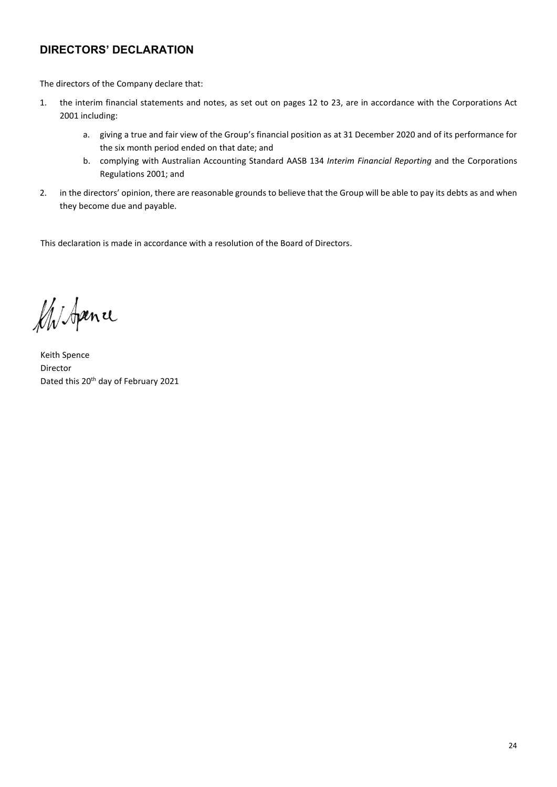# **DIRECTORS' DECLARATION**

The directors of the Company declare that:

- 1. the interim financial statements and notes, as set out on pages 12 to 23, are in accordance with the Corporations Act 2001 including:
	- a. giving a true and fair view of the Group's financial position as at 31 December 2020 and of its performance for the six month period ended on that date; and
	- b. complying with Australian Accounting Standard AASB 134 *Interim Financial Reporting* and the Corporations Regulations 2001; and
- 2. in the directors' opinion, there are reasonable grounds to believe that the Group will be able to pay its debts as and when they become due and payable.

This declaration is made in accordance with a resolution of the Board of Directors.

Mistpence

Keith Spence Director Dated this 20<sup>th</sup> day of February 2021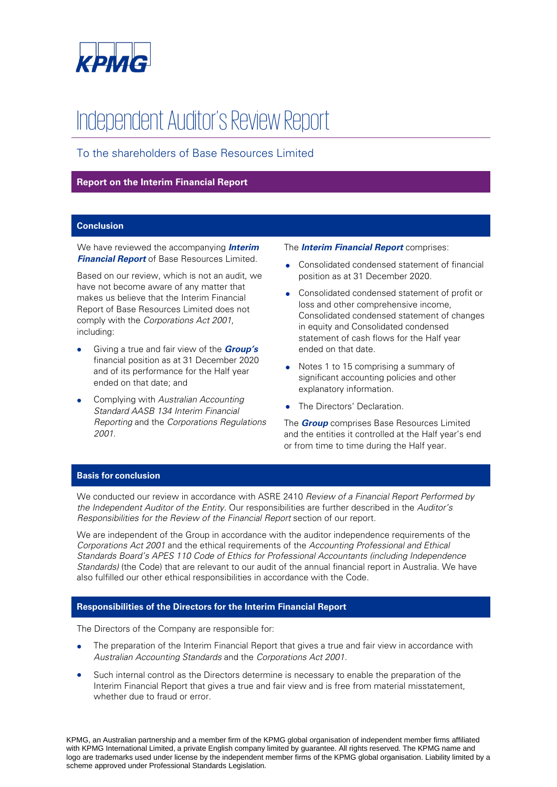

# Independent Auditor's Review Report

To the shareholders of Base Resources Limited

#### **Report on the Interim Financial Report**

#### **Conclusion**

We have reviewed the accompanying **Interim Financial Report** of Base Resources Limited.

Based on our review, which is not an audit, we have not become aware of any matter that makes us believe that the Interim Financial Report of Base Resources Limited does not comply with the Corporations Act 2001, including:

- Giving a true and fair view of the **Group's** financial position as at 31 December 2020 and of its performance for the Half year ended on that date; and
- Complying with Australian Accounting Standard AASB 134 Interim Financial Reporting and the Corporations Regulations 2001.

#### The **Interim Financial Report** comprises:

- Consolidated condensed statement of financial position as at 31 December 2020.
- Consolidated condensed statement of profit or loss and other comprehensive income, Consolidated condensed statement of changes in equity and Consolidated condensed statement of cash flows for the Half year ended on that date.
- Notes 1 to 15 comprising a summary of significant accounting policies and other explanatory information.
- The Directors' Declaration.

The **Group** comprises Base Resources Limited and the entities it controlled at the Half year's end or from time to time during the Half year.

#### **Basis for conclusion**

We conducted our review in accordance with ASRE 2410 Review of a Financial Report Performed by the Independent Auditor of the Entity. Our responsibilities are further described in the Auditor's Responsibilities for the Review of the Financial Report section of our report.

We are independent of the Group in accordance with the auditor independence requirements of the Corporations Act 2001 and the ethical requirements of the Accounting Professional and Ethical Standards Board's APES 110 Code of Ethics for Professional Accountants (including Independence Standards) (the Code) that are relevant to our audit of the annual financial report in Australia. We have also fulfilled our other ethical responsibilities in accordance with the Code.

#### **Responsibilities of the Directors for the Interim Financial Report**

The Directors of the Company are responsible for:

- The preparation of the Interim Financial Report that gives a true and fair view in accordance with Australian Accounting Standards and the Corporations Act 2001.
- Such internal control as the Directors determine is necessary to enable the preparation of the Interim Financial Report that gives a true and fair view and is free from material misstatement, whether due to fraud or error.

KPMG, an Australian partnership and a member firm of the KPMG global organisation of independent member firms affiliated with KPMG International Limited, a private English company limited by guarantee. All rights reserved. The KPMG name and logo are trademarks used under license by the independent member firms of the KPMG global organisation. Liability limited by a scheme approved under Professional Standards Legislation.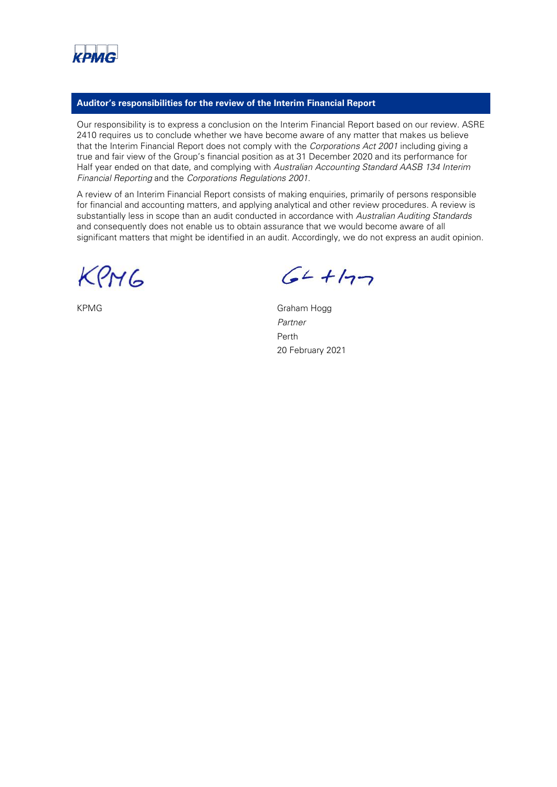

#### **Auditor's responsibilities for the review of the Interim Financial Report**

Our responsibility is to express a conclusion on the Interim Financial Report based on our review. ASRE 2410 requires us to conclude whether we have become aware of any matter that makes us believe that the Interim Financial Report does not comply with the Corporations Act 2001 including giving a true and fair view of the Group's financial position as at 31 December 2020 and its performance for Half year ended on that date, and complying with Australian Accounting Standard AASB 134 Interim Financial Reporting and the Corporations Regulations 2001.

A review of an Interim Financial Report consists of making enquiries, primarily of persons responsible for financial and accounting matters, and applying analytical and other review procedures. A review is substantially less in scope than an audit conducted in accordance with Australian Auditing Standards and consequently does not enable us to obtain assurance that we would become aware of all significant matters that might be identified in an audit. Accordingly, we do not express an audit opinion.

KPM6

 $64 + 177$ 

KPMG Graham Hogg Partner Perth 20 February 2021